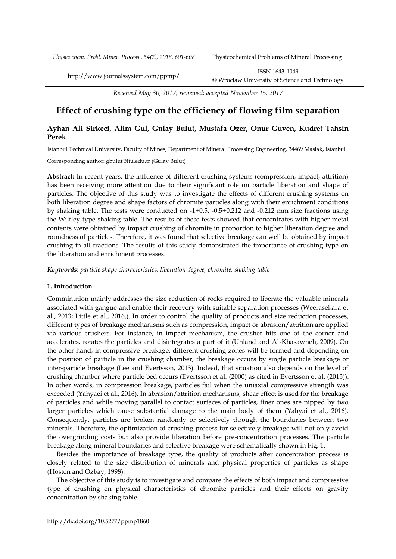*Physicochem. Probl. Miner. Process., 54(2), 2018, 601-608* Physicochemical Problems of Mineral Processing

http://www.journalssystem.com/ppmp/ ISSN 1643-1049 [©](http://www.minproc.pwr.wroc.pl/journal/) Wroclaw University of Science and Technology

*Received May 30, 2017; reviewed; accepted November 15, 2017*

# **Effect of crushing type on the efficiency of flowing film separation**

## **Ayhan Ali Sirkeci, Alim Gul, Gulay Bulut, Mustafa Ozer, Onur Guven, Kudret Tahsin Perek**

Istanbul Technical University, Faculty of Mines, Department of Mineral Processing Engineering, 34469 Maslak, Istanbul

Corresponding author: gbulut@itu.edu.tr (Gulay Bulut)

**Abstract:** In recent years, the influence of different crushing systems (compression, impact, attrition) has been receiving more attention due to their significant role on particle liberation and shape of particles. The objective of this study was to investigate the effects of different crushing systems on both liberation degree and shape factors of chromite particles along with their enrichment conditions by shaking table. The tests were conducted on -1+0.5, -0.5+0.212 and -0.212 mm size fractions using the Wilfley type shaking table. The results of these tests showed that concentrates with higher metal contents were obtained by impact crushing of chromite in proportion to higher liberation degree and roundness of particles. Therefore, it was found that selective breakage can well be obtained by impact crushing in all fractions. The results of this study demonstrated the importance of crushing type on the liberation and enrichment processes.

*Keywords***:** *particle shape characteristics, liberation degree, chromite, shaking table*

## **1. Introduction**

Comminution mainly addresses the size reduction of rocks required to liberate the valuable minerals associated with gangue and enable their recovery with suitable separation processes (Weerasekara et al., 2013; Little et al., 2016,). In order to control the quality of products and size reduction processes, different types of breakage mechanisms such as compression, impact or abrasion/attrition are applied via various crushers. For instance, in impact mechanism, the crusher hits one of the corner and accelerates, rotates the particles and disintegrates a part of it (Unland and Al-Khasawneh, 2009). On the other hand, in compressive breakage, different crushing zones will be formed and depending on the position of particle in the crushing chamber, the breakage occurs by single particle breakage or inter-particle breakage (Lee and Evertsson, 2013). Indeed, that situation also depends on the level of crushing chamber where particle bed occurs (Evertsson et al. (2000) as cited in Evertsson et al. (2013)). In other words, in compression breakage, particles fail when the uniaxial compressive strength was exceeded (Yahyaei et al., 2016). In abrasion/attrition mechanisms, shear effect is used for the breakage of particles and while moving parallel to contact surfaces of particles, finer ones are nipped by two larger particles which cause substantial damage to the main body of them (Yahyai et al., 2016). Consequently, particles are broken randomly or selectively through the boundaries between two minerals. Therefore, the optimization of crushing process for selectively breakage will not only avoid the overgrinding costs but also provide liberation before pre-concentration processes. The particle breakage along mineral boundaries and selective breakage were schematically shown in Fig. 1.

Besides the importance of breakage type, the quality of products after concentration process is closely related to the size distribution of minerals and physical properties of particles as shape (Hosten and Ozbay, 1998).

The objective of this study is to investigate and compare the effects of both impact and compressive type of crushing on physical characteristics of chromite particles and their effects on gravity concentration by shaking table.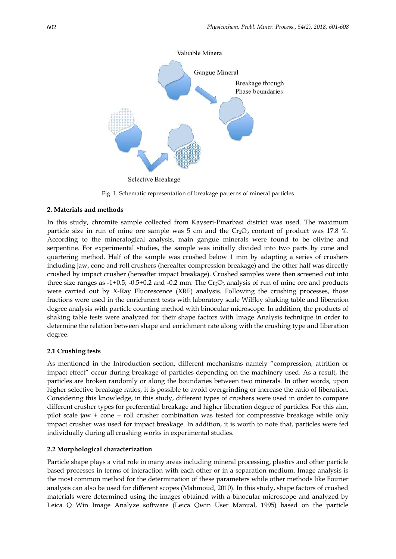

Fig. 1. Schematic representation of breakage patterns of mineral particles

## **2. Materials and methods**

In this study, chromite sample collected from Kayseri-Pınarbasi district was used. The maximum particle size in run of mine ore sample was  $5 \text{ cm}$  and the  $Cr_2O_3$  content of product was 17.8 %. According to the mineralogical analysis, main gangue minerals were found to be olivine and serpentine. For experimental studies, the sample was initially divided into two parts by cone and quartering method. Half of the sample was crushed below 1 mm by adapting a series of crushers including jaw, cone and roll crushers (hereafter compression breakage) and the other half was directly crushed by impact crusher (hereafter impact breakage). Crushed samples were then screened out into three size ranges as  $-1+0.5$ ;  $-0.5+0.2$  and  $-0.2$  mm. The  $Cr_2O_3$  analysis of run of mine ore and products were carried out by X-Ray Fluorescence (XRF) analysis. Following the crushing processes, those fractions were used in the enrichment tests with laboratory scale Wilfley shaking table and liberation degree analysis with particle counting method with binocular microscope. In addition, the products of shaking table tests were analyzed for their shape factors with Image Analysis technique in order to determine the relation between shape and enrichment rate along with the crushing type and liberation degree.

## **2.1 Crushing tests**

As mentioned in the Introduction section, different mechanisms namely "compression, attrition or impact effect" occur during breakage of particles depending on the machinery used. As a result, the particles are broken randomly or along the boundaries between two minerals. In other words, upon higher selective breakage ratios, it is possible to avoid overgrinding or increase the ratio of liberation. Considering this knowledge, in this study, different types of crushers were used in order to compare different crusher types for preferential breakage and higher liberation degree of particles. For this aim, pilot scale jaw + cone + roll crusher combination was tested for compressive breakage while only impact crusher was used for impact breakage. In addition, it is worth to note that, particles were fed individually during all crushing works in experimental studies.

## **2.2 Morphological characterization**

Particle shape plays a vital role in many areas including mineral processing, plastics and other particle based processes in terms of interaction with each other or in a separation medium. Image analysis is the most common method for the determination of these parameters while other methods like Fourier analysis can also be used for different scopes (Mahmoud, 2010). In this study, shape factors of crushed materials were determined using the images obtained with a binocular microscope and analyzed by Leica Q Win Image Analyze software (Leica Qwin User Manual, 1995) based on the particle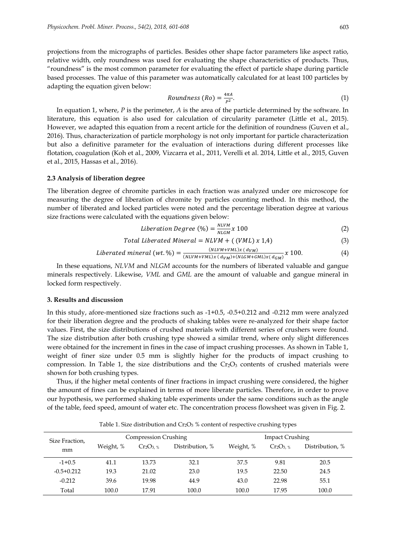projections from the micrographs of particles. Besides other shape factor parameters like aspect ratio, relative width, only roundness was used for evaluating the shape characteristics of products. Thus, "roundness" is the most common parameter for evaluating the effect of particle shape during particle based processes. The value of this parameter was automatically calculated for at least 100 particles by adapting the equation given below:

$$
Roundness (Ro) = \frac{4\pi A}{P^2}.
$$
\n<sup>(1)</sup>

In equation 1, where, *P* is the perimeter, *A* is the area of the particle determined by the software. In literature, this equation is also used for calculation of circularity parameter (Little et al., 2015). However, we adapted this equation from a recent article for the definition of roundness (Guven et al., 2016). Thus, characterization of particle morphology is not only important for particle characterization but also a definitive parameter for the evaluation of interactions during different processes like flotation, coagulation (Koh et al., 2009, Vizcarra et al., 2011, Verelli et al. 2014, Little et al., 2015, Guven et al., 2015, Hassas et al., 2016).

#### **2.3 Analysis of liberation degree**

The liberation degree of chromite particles in each fraction was analyzed under ore microscope for measuring the degree of liberation of chromite by particles counting method. In this method, the number of liberated and locked particles were noted and the percentage liberation degree at various size fractions were calculated with the equations given below:

$$
Liberation Degree (\%) = \frac{NUVM}{NLGM} x 100 \tag{2}
$$

$$
Total \textit{Liberated Mineral} = NLVM + ((VML) \times 1,4)
$$
\n
$$
(3)
$$

*Liberated mineral (wt.*%) = 
$$
\frac{(NLVM+VML)x (d_{VM})}{(NLVM+VML)x (d_{VM})+(NLGM+GML)x (d_{GM})} x 100.
$$
 (4)

In these equations, *NLVM* and *NLGM* accounts for the numbers of liberated valuable and gangue minerals respectively. Likewise, *VML* and *GML* are the amount of valuable and gangue mineral in locked form respectively.

#### **3. Results and discussion**

In this study, afore-mentioned size fractions such as -1+0.5, -0.5+0.212 and -0.212 mm were analyzed for their liberation degree and the products of shaking tables were re-analyzed for their shape factor values. First, the size distributions of crushed materials with different series of crushers were found. The size distribution after both crushing type showed a similar trend, where only slight differences were obtained for the increment in fines in the case of impact crushing processes. As shown in Table 1, weight of finer size under 0.5 mm is slightly higher for the products of impact crushing to compression. In Table 1, the size distributions and the  $Cr_2O_3$  contents of crushed materials were shown for both crushing types.

Thus, if the higher metal contents of finer fractions in impact crushing were considered, the higher the amount of fines can be explained in terms of more liberate particles. Therefore, in order to prove our hypothesis, we performed shaking table experiments under the same conditions such as the angle of the table, feed speed, amount of water etc. The concentration process flowsheet was given in Fig. 2.

| Size Fraction, |           | <b>Compression Crushing</b> |                 |           | <b>Impact Crushing</b> |                 |  |
|----------------|-----------|-----------------------------|-----------------|-----------|------------------------|-----------------|--|
| mm             | Weight, % | $Cr_2O_3$ %                 | Distribution, % | Weight, % | $Cr_2O_{3.~%}$         | Distribution, % |  |
| $-1+0.5$       | 41.1      | 13.73                       | 32.1            | 37.5      | 9.81                   | 20.5            |  |
| $-0.5+0.212$   | 19.3      | 21.02                       | 23.0            | 19.5      | 22.50                  | 24.5            |  |
| $-0.212$       | 39.6      | 19.98                       | 44.9            | 43.0      | 22.98                  | 55.1            |  |
| Total          | 100.0     | 17.91                       | 100.0           | 100.0     | 17.95                  | 100.0           |  |

Table 1. Size distribution and  $Cr_2O_3$  % content of respective crushing types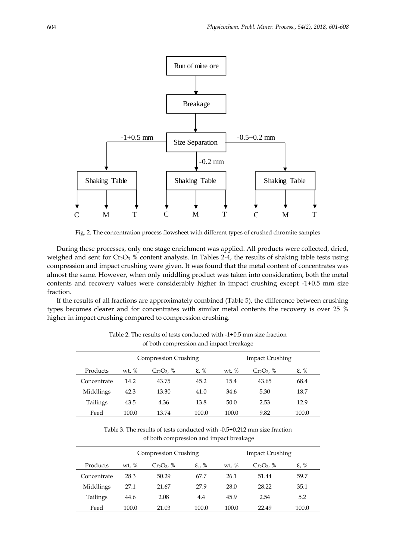

Fig. 2. The concentration process flowsheet with different types of crushed chromite samples

During these processes, only one stage enrichment was applied. All products were collected, dried, weighed and sent for Cr<sub>2</sub>O<sub>3</sub> % content analysis. In Tables 2-4, the results of shaking table tests using compression and impact crushing were given. It was found that the metal content of concentrates was almost the same. However, when only middling product was taken into consideration, both the metal contents and recovery values were considerably higher in impact crushing except -1+0.5 mm size fraction.

If the results of all fractions are approximately combined (Table 5), the difference between crushing types becomes clearer and for concentrates with similar metal contents the recovery is over 25 % higher in impact crushing compared to compression crushing.

|             | <b>Compression Crushing</b> |               |                |         | <b>Impact Crushing</b> |       |
|-------------|-----------------------------|---------------|----------------|---------|------------------------|-------|
| Products    | wt. $%$                     | $Cr_2O_3$ , % | $\epsilon$ , % | wt. $%$ | $Cr_2O_3$ , %          | ε, %  |
| Concentrate | 14.2                        | 43.75         | 45.2           | 15.4    | 43.65                  | 68.4  |
| Middlings   | 42.3                        | 13.30         | 41.0           | 34.6    | 5.30                   | 18.7  |
| Tailings    | 43.5                        | 4.36          | 13.8           | 50.0    | 2.53                   | 12.9  |
| Feed        | 100.0                       | 13.74         | 100.0          | 100.0   | 9.82                   | 100.0 |

Table 2. The results of tests conducted with -1+0.5 mm size fraction of both compression and impact breakage

Table 3. The results of tests conducted with -0.5+0.212 mm size fraction of both compression and impact breakage

|             | <b>Compression Crushing</b> |               |       |         | <b>Impact Crushing</b> |                      |
|-------------|-----------------------------|---------------|-------|---------|------------------------|----------------------|
| Products    | wt. $\%$                    | $Cr_2O_3$ , % | E., % | wt. $%$ | $Cr_2O_3$ , %          | $\varepsilon$ , $\%$ |
| Concentrate | 28.3                        | 50.29         | 67.7  | 26.1    | 51.44                  | 59.7                 |
| Middlings   | 27.1                        | 21.67         | 27.9  | 28.0    | 28.22                  | 35.1                 |
| Tailings    | 44.6                        | 2.08          | 4.4   | 45.9    | 2.54                   | 5.2                  |
| Feed        | 100.0                       | 21.03         | 100.0 | 100.0   | 22.49                  | 100.0                |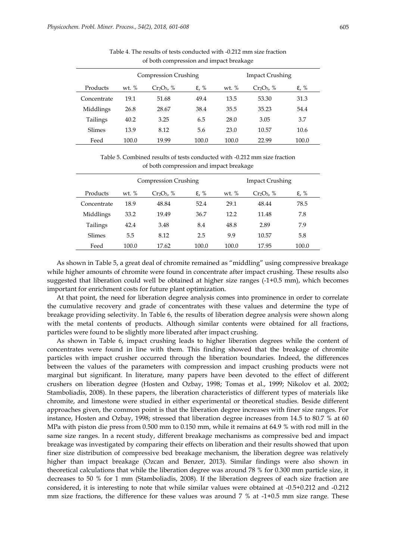|             | <b>Compression Crushing</b> |               |                      | <b>Impact Crushing</b> |               |                |
|-------------|-----------------------------|---------------|----------------------|------------------------|---------------|----------------|
| Products    | wt. $\%$                    | $Cr_2O_3$ , % | $\varepsilon$ , $\%$ | wt. $\%$               | $Cr_2O_3$ , % | $\epsilon$ , % |
| Concentrate | 19.1                        | 51.68         | 49.4                 | 13.5                   | 53.30         | 31.3           |
| Middlings   | 26.8                        | 28.67         | 38.4                 | 35.5                   | 35.23         | 54.4           |
| Tailings    | 40.2                        | 3.25          | 6.5                  | 28.0                   | 3.05          | 3.7            |
| Slimes      | 13.9                        | 8.12          | 5.6                  | 23.0                   | 10.57         | 10.6           |
| Feed        | 100.0                       | 19.99         | 100.0                | 100.0                  | 22.99         | 100.0          |

Table 4. The results of tests conducted with -0.212 mm size fraction of both compression and impact breakage

Table 5. Combined results of tests conducted with -0.212 mm size fraction of both compression and impact breakage

|             |         | <b>Compression Crushing</b> |                   |         | <b>Impact Crushing</b> |       |
|-------------|---------|-----------------------------|-------------------|---------|------------------------|-------|
| Products    | wt. $%$ | $Cr_2O_3$ , %               | $\varepsilon$ , % | wt. $%$ | $Cr_2O_3$ , %          | ε, %  |
| Concentrate | 18.9    | 48.84                       | 52.4              | 29.1    | 48.44                  | 78.5  |
| Middlings   | 33.2    | 19.49                       | 36.7              | 12.2    | 11.48                  | 7.8   |
| Tailings    | 42.4    | 3.48                        | 8.4               | 48.8    | 2.89                   | 7.9   |
| Slimes      | 5.5     | 8.12                        | 2.5               | 9.9     | 10.57                  | 5.8   |
| Feed        | 100.0   | 17.62                       | 100.0             | 100.0   | 17.95                  | 100.0 |

As shown in Table 5, a great deal of chromite remained as "middling" using compressive breakage while higher amounts of chromite were found in concentrate after impact crushing. These results also suggested that liberation could well be obtained at higher size ranges (-1+0.5 mm), which becomes important for enrichment costs for future plant optimization.

At that point, the need for liberation degree analysis comes into prominence in order to correlate the cumulative recovery and grade of concentrates with these values and determine the type of breakage providing selectivity. In Table 6, the results of liberation degree analysis were shown along with the metal contents of products. Although similar contents were obtained for all fractions, particles were found to be slightly more liberated after impact crushing.

As shown in Table 6, impact crushing leads to higher liberation degrees while the content of concentrates were found in line with them. This finding showed that the breakage of chromite particles with impact crusher occurred through the liberation boundaries. Indeed, the differences between the values of the parameters with compression and impact crushing products were not marginal but significant. In literature, many papers have been devoted to the effect of different crushers on liberation degree (Hosten and Ozbay, 1998; Tomas et al., 1999; Nikolov et al. 2002; Stamboliadis, 2008). In these papers, the liberation characteristics of different types of materials like chromite, and limestone were studied in either experimental or theoretical studies. Beside different approaches given, the common point is that the liberation degree increases with finer size ranges. For instance, Hosten and Ozbay, 1998; stressed that liberation degree increases from 14.5 to 80.7 % at 60 MPa with piston die press from 0.500 mm to 0.150 mm, while it remains at 64.9 % with rod mill in the same size ranges. In a recent study, different breakage mechanisms as compressive bed and impact breakage was investigated by comparing their effects on liberation and their results showed that upon finer size distribution of compressive bed breakage mechanism, the liberation degree was relatively higher than impact breakage (Ozcan and Benzer, 2013). Similar findings were also shown in theoretical calculations that while the liberation degree was around 78 % for 0.300 mm particle size, it decreases to 50 % for 1 mm (Stamboliadis, 2008). If the liberation degrees of each size fraction are considered, it is interesting to note that while similar values were obtained at -0.5+0.212 and -0.212 mm size fractions, the difference for these values was around 7 % at -1+0.5 mm size range. These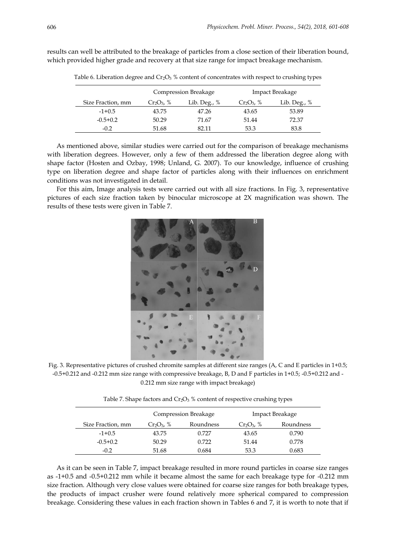|                   |               | Compression Breakage |               | Impact Breakage |
|-------------------|---------------|----------------------|---------------|-----------------|
| Size Fraction, mm | $Cr_2O_3$ , % | Lib. Deg., $%$       | $Cr_2O_3$ , % | Lib. Deg., $%$  |
| $-1+0.5$          | 43.75         | 47.26                | 43.65         | 53.89           |
| $-0.5+0.2$        | 50.29         | 71.67                | 51.44         | 72.37           |
| $-0.2$            | 51.68         | 82.11                | 53.3          | 83.8            |

results can well be attributed to the breakage of particles from a close section of their liberation bound, which provided higher grade and recovery at that size range for impact breakage mechanism.

Table 6. Liberation degree and  $Cr_2O_3$  % content of concentrates with respect to crushing types

As mentioned above, similar studies were carried out for the comparison of breakage mechanisms with liberation degrees. However, only a few of them addressed the liberation degree along with shape factor (Hosten and Ozbay, 1998; Unland, G. 2007). To our knowledge, influence of crushing type on liberation degree and shape factor of particles along with their influences on enrichment conditions was not investigated in detail.

For this aim, Image analysis tests were carried out with all size fractions. In Fig. 3, representative pictures of each size fraction taken by binocular microscope at 2X magnification was shown. The results of these tests were given in Table 7.

![](_page_5_Picture_6.jpeg)

Fig. 3. Representative pictures of crushed chromite samples at different size ranges (A, C and E particles in 1+0.5; -0.5+0.212 and -0.212 mm size range with compressive breakage, B, D and F particles in 1+0.5; -0.5+0.212 and - 0.212 mm size range with impact breakage)

|  |  | Table 7. Shape factors and $Cr_2O_3$ % content of respective crushing types |
|--|--|-----------------------------------------------------------------------------|
|--|--|-----------------------------------------------------------------------------|

|                   | Compression Breakage |           | Impact Breakage |           |  |
|-------------------|----------------------|-----------|-----------------|-----------|--|
| Size Fraction, mm | $Cr_2O_3$ , %        | Roundness | $Cr_2O_3$ , %   | Roundness |  |
| $-1+0.5$          | 43.75                | 0.727     | 43.65           | 0.790     |  |
| $-0.5+0.2$        | 50.29                | 0.722     | 51.44           | 0.778     |  |
| $-0.2$            | 51.68                | 0.684     | 53.3            | 0.683     |  |

As it can be seen in Table 7, impact breakage resulted in more round particles in coarse size ranges as -1+0.5 and -0.5+0.212 mm while it became almost the same for each breakage type for -0.212 mm size fraction. Although very close values were obtained for coarse size ranges for both breakage types, the products of impact crusher were found relatively more spherical compared to compression breakage. Considering these values in each fraction shown in Tables 6 and 7, it is worth to note that if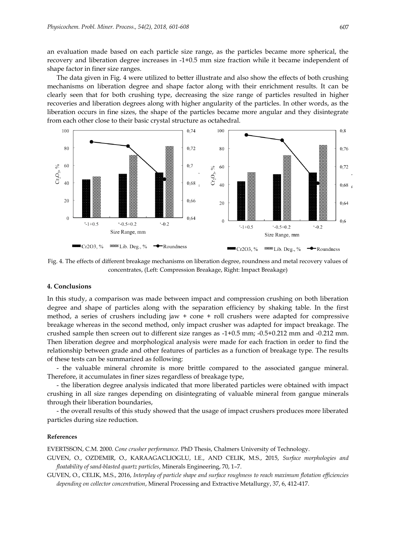an evaluation made based on each particle size range, as the particles became more spherical, the recovery and liberation degree increases in -1+0.5 mm size fraction while it became independent of shape factor in finer size ranges.

The data given in Fig. 4 were utilized to better illustrate and also show the effects of both crushing mechanisms on liberation degree and shape factor along with their enrichment results. It can be clearly seen that for both crushing type, decreasing the size range of particles resulted in higher recoveries and liberation degrees along with higher angularity of the particles. In other words, as the liberation occurs in fine sizes, the shape of the particles became more angular and they disintegrate from each other close to their basic crystal structure as octahedral.

![](_page_6_Figure_3.jpeg)

Fig. 4. The effects of different breakage mechanisms on liberation degree, roundness and metal recovery values of concentrates, (Left: Compression Breakage, Right: Impact Breakage)

## **4. Conclusions**

In this study, a comparison was made between impact and compression crushing on both liberation degree and shape of particles along with the separation efficiency by shaking table. In the first method, a series of crushers including jaw + cone + roll crushers were adapted for compressive breakage whereas in the second method, only impact crusher was adapted for impact breakage. The crushed sample then screen out to different size ranges as -1+0.5 mm; -0.5+0.212 mm and -0.212 mm. Then liberation degree and morphological analysis were made for each fraction in order to find the relationship between grade and other features of particles as a function of breakage type. The results of these tests can be summarized as following:

- the valuable mineral chromite is more brittle compared to the associated gangue mineral. Therefore, it accumulates in finer sizes regardless of breakage type,

- the liberation degree analysis indicated that more liberated particles were obtained with impact crushing in all size ranges depending on disintegrating of valuable mineral from gangue minerals through their liberation boundaries,

- the overall results of this study showed that the usage of impact crushers produces more liberated particles during size reduction.

## **References**

EVERTSSON, C.M. 2000. *Cone crusher performance*. PhD Thesis, Chalmers University of Technology.

GUVEN, O., OZDEMIR, O., KARAAGACLIOGLU, I.E., AND CELIK, M.S., 2015, *Surface morphologies and floatability of sand-blasted quartz particles*, Minerals Engineering, 70, 1–7.

GUVEN, O., CELIK, M.S., 2016, *Interplay of particle shape and surface roughness to reach maximum flotation efficiencies depending on collector concentration*, Mineral Processing and Extractive Metallurgy, 37, 6, 412-417.